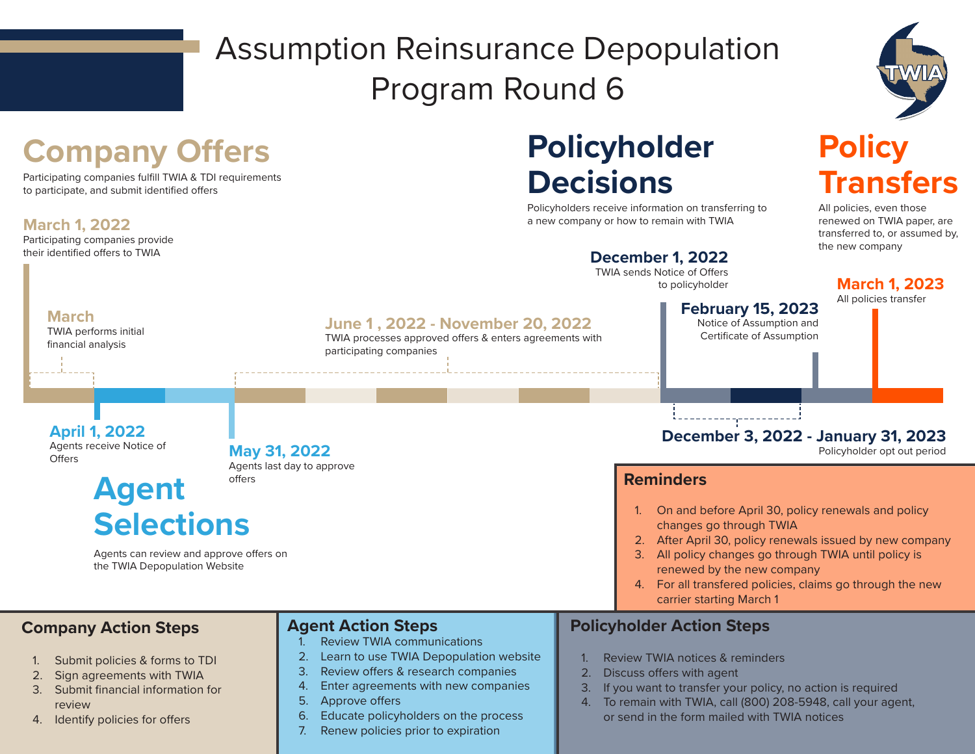# Assumption Reinsurance Depopulation Program Round 6



#### **March 1, 2022** Participating companies provide their identified offers to TWIA **Company Offers April 1, 2022** Agents receive Notice of **Offers Agent Selections December 1, 2022** TWIA sends Notice of Offers to policyholder **Policyholder Decisions March 1, 2023** All policies transfer **Policy Transfers June 1 , 2022 - November 20, 2022** TWIA processes approved offers & enters agreements with participating companies Agents can review and approve offers on the TWIA Depopulation Website Policyholders receive information on transferring to a new company or how to remain with TWIA **February 15, 2023** Notice of Assumption and Certificate of Assumption **May 31, 2022** Agents last day to approve offers All policies, even those renewed on TWIA paper, are transferred to, or assumed by, the new company Participating companies fulfill TWIA & TDI requirements to participate, and submit identified offers **Company Action Steps** 1. Submit policies & forms to TDI 2. Sign agreements with TWIA 3. Submit financial information for review 4. Identify policies for offers **Agent Action Steps** 1. Review TWIA communications 2. Learn to use TWIA Depopulation website 3. Review offers & research companies 4. Enter agreements with new companies 5. Approve offers 6. Educate policyholders on the process 7. Renew policies prior to expiration **Policyholder Action Steps** Review TWIA notices & reminders 2. Discuss offers with agent 3. If you want to transfer your policy, no action is required 4. To remain with TWIA, call (800) 208-5948, call your agent, or send in the form mailed with TWIA notices **Reminders** 1. On and before April 30, policy renewals and policy changes go through TWIA 2. After April 30, policy renewals issued by new company 3. All policy changes go through TWIA until policy is renewed by the new company 4. For all transfered policies, claims go through the new carrier starting March 1 **March** TWIA performs initial financial analysis **December 3, 2022 - January 31, 2023** Policyholder opt out period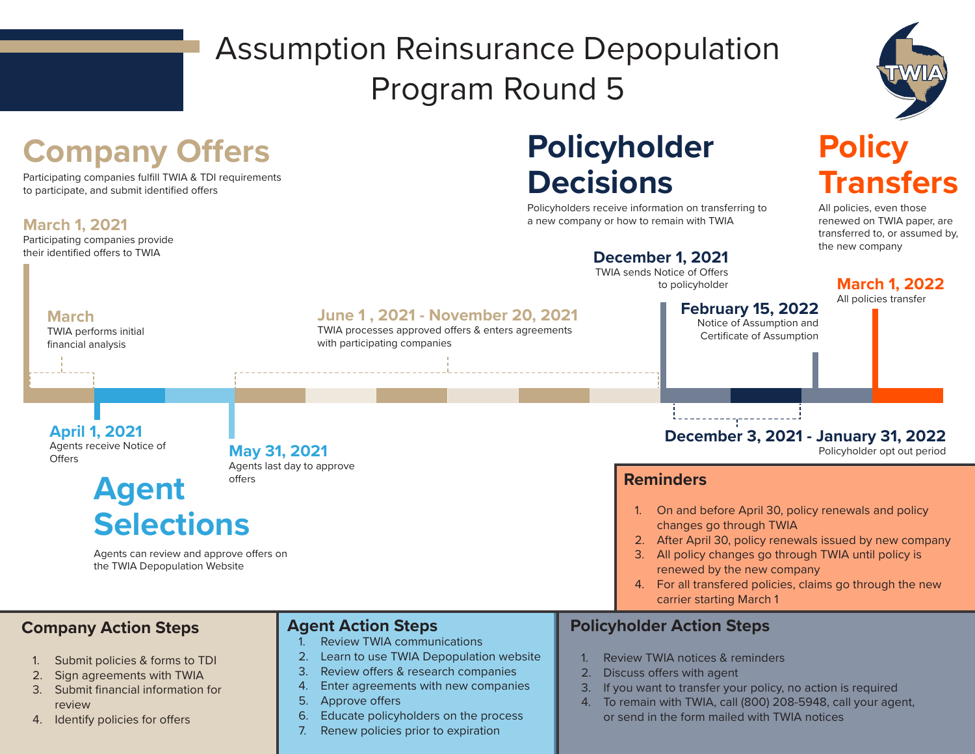# Assumption Reinsurance Depopulation Program Round 5



**Policy** 

All policies, even those renewed on TWIA paper, are

**Transfers**

### **Company Offers**

Participating companies fulfill TWIA & TDI requirements to participate, and submit identified offers

#### **March 1, 2021**

Participating companies provide their identified offers to TWIA

## **Policyholder Decisions**

Policyholders receive information on transferring to a new company or how to remain with TWIA



- 1. Submit policies & forms to TDI
- 2. Sign agreements with TWIA
- 3. Submit financial information for review
- 4. Identify policies for offers
- 1. Review TWIA communications
- 2. Learn to use TWIA Depopulation website
- 3. Review offers & research companies
- 4. Enter agreements with new companies
- 5. Approve offers
- 6. Educate policyholders on the process
- 7. Renew policies prior to expiration

- Review TWIA notices & reminders
- 2. Discuss offers with agent
- 3. If you want to transfer your policy, no action is required
- 4. To remain with TWIA, call (800) 208-5948, call your agent, or send in the form mailed with TWIA notices